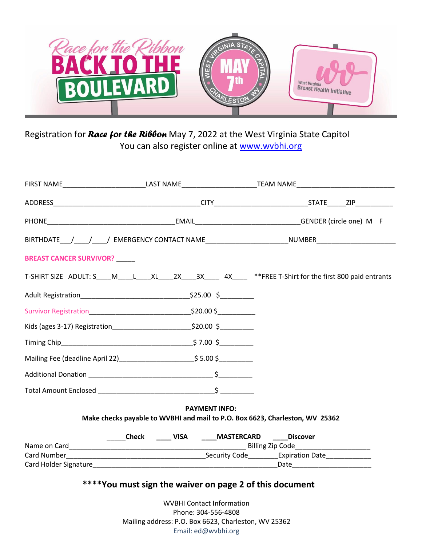

Registration for *Race for the Ribbon* May 7, 2022 at the West Virginia State Capitol You can also register online at [www.wvbhi.org](http://www.wvbhi.org/)

|                                                                              |                                                        | FIRST NAME____________________________LAST NAME___________________________________                             |
|------------------------------------------------------------------------------|--------------------------------------------------------|----------------------------------------------------------------------------------------------------------------|
|                                                                              |                                                        |                                                                                                                |
|                                                                              |                                                        |                                                                                                                |
|                                                                              |                                                        | BIRTHDATE____/_____/_____/ EMERGENCY CONTACT NAME________________________NUMBER_____________________           |
| <b>BREAST CANCER SURVIVOR?</b>                                               |                                                        |                                                                                                                |
|                                                                              |                                                        | T-SHIRT SIZE ADULT: S____M____L____XL____2X____3X______4X______ **FREE T-Shirt for the first 800 paid entrants |
|                                                                              |                                                        |                                                                                                                |
|                                                                              |                                                        |                                                                                                                |
|                                                                              |                                                        |                                                                                                                |
|                                                                              |                                                        |                                                                                                                |
|                                                                              | Mailing Fee (deadline April 22) 5.00 \$                |                                                                                                                |
|                                                                              |                                                        |                                                                                                                |
|                                                                              |                                                        |                                                                                                                |
|                                                                              | <b>PAYMENT INFO:</b>                                   |                                                                                                                |
| Make checks payable to WVBHI and mail to P.O. Box 6623, Charleston, WV 25362 |                                                        |                                                                                                                |
|                                                                              | ______Check ______ VISA ______MASTERCARD _____Discover |                                                                                                                |
|                                                                              |                                                        |                                                                                                                |
|                                                                              |                                                        |                                                                                                                |
|                                                                              |                                                        |                                                                                                                |
| ****You must sign the waiver on page 2 of this document                      |                                                        |                                                                                                                |

WVBHI Contact Information Phone: 304-556-4808 Mailing address: P.O. Box 6623, Charleston, WV 25362 Email: ed@wvbhi.org